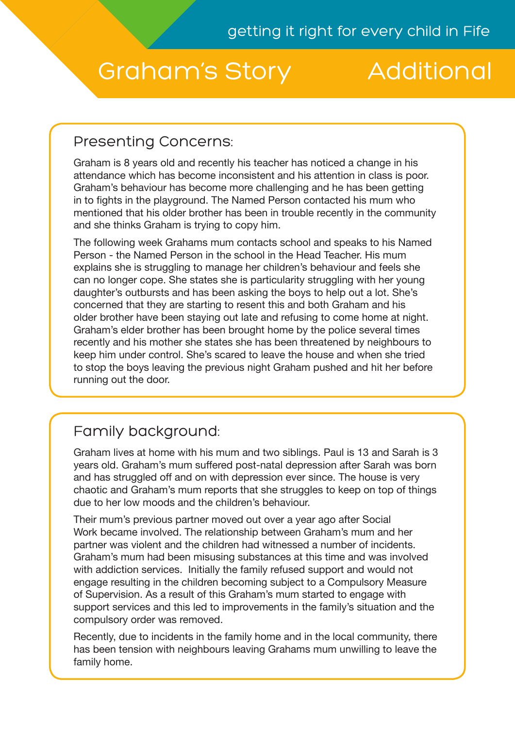# Graham's Story Additional

## Presenting Concerns:

Graham is 8 years old and recently his teacher has noticed a change in his attendance which has become inconsistent and his attention in class is poor. Graham's behaviour has become more challenging and he has been getting in to fights in the playground. The Named Person contacted his mum who mentioned that his older brother has been in trouble recently in the community and she thinks Graham is trying to copy him.

The following week Grahams mum contacts school and speaks to his Named Person - the Named Person in the school in the Head Teacher. His mum explains she is struggling to manage her children's behaviour and feels she can no longer cope. She states she is particularity struggling with her young daughter's outbursts and has been asking the boys to help out a lot. She's concerned that they are starting to resent this and both Graham and his older brother have been staying out late and refusing to come home at night. Graham's elder brother has been brought home by the police several times recently and his mother she states she has been threatened by neighbours to keep him under control. She's scared to leave the house and when she tried to stop the boys leaving the previous night Graham pushed and hit her before running out the door.

# Family background:

Graham lives at home with his mum and two siblings. Paul is 13 and Sarah is 3 years old. Graham's mum suffered post-natal depression after Sarah was born and has struggled off and on with depression ever since. The house is very chaotic and Graham's mum reports that she struggles to keep on top of things due to her low moods and the children's behaviour.

Their mum's previous partner moved out over a year ago after Social Work became involved. The relationship between Graham's mum and her partner was violent and the children had witnessed a number of incidents. Graham's mum had been misusing substances at this time and was involved with addiction services. Initially the family refused support and would not engage resulting in the children becoming subject to a Compulsory Measure of Supervision. As a result of this Graham's mum started to engage with support services and this led to improvements in the family's situation and the compulsory order was removed.

Recently, due to incidents in the family home and in the local community, there has been tension with neighbours leaving Grahams mum unwilling to leave the family home.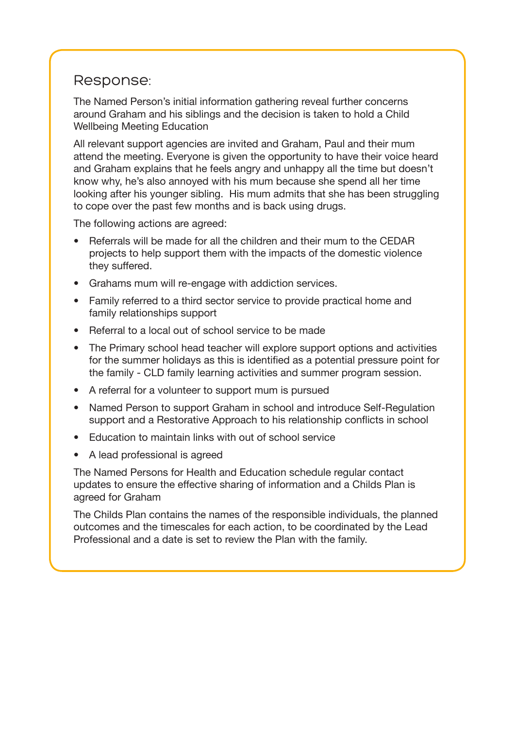#### Response:

The Named Person's initial information gathering reveal further concerns around Graham and his siblings and the decision is taken to hold a Child Wellbeing Meeting Education

All relevant support agencies are invited and Graham, Paul and their mum attend the meeting. Everyone is given the opportunity to have their voice heard and Graham explains that he feels angry and unhappy all the time but doesn't know why, he's also annoyed with his mum because she spend all her time looking after his younger sibling. His mum admits that she has been struggling to cope over the past few months and is back using drugs.

The following actions are agreed:

- Referrals will be made for all the children and their mum to the CEDAR projects to help support them with the impacts of the domestic violence they suffered.
- Grahams mum will re-engage with addiction services.
- Family referred to a third sector service to provide practical home and family relationships support
- Referral to a local out of school service to be made
- The Primary school head teacher will explore support options and activities for the summer holidays as this is identified as a potential pressure point for the family - CLD family learning activities and summer program session.
- A referral for a volunteer to support mum is pursued
- Named Person to support Graham in school and introduce Self-Regulation support and a Restorative Approach to his relationship conflicts in school
- Education to maintain links with out of school service
- A lead professional is agreed

The Named Persons for Health and Education schedule regular contact updates to ensure the effective sharing of information and a Childs Plan is agreed for Graham

The Childs Plan contains the names of the responsible individuals, the planned outcomes and the timescales for each action, to be coordinated by the Lead Professional and a date is set to review the Plan with the family.